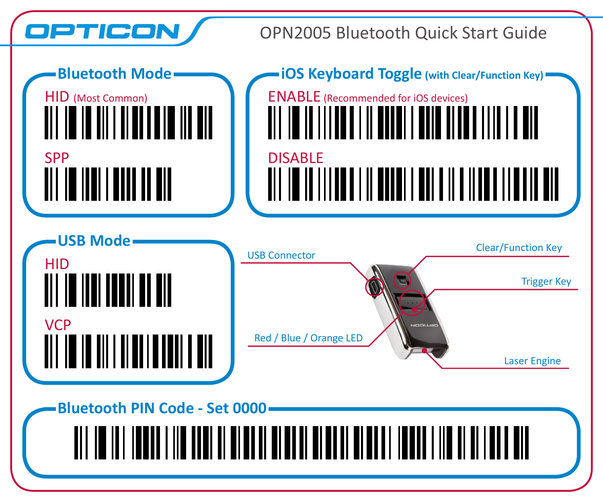